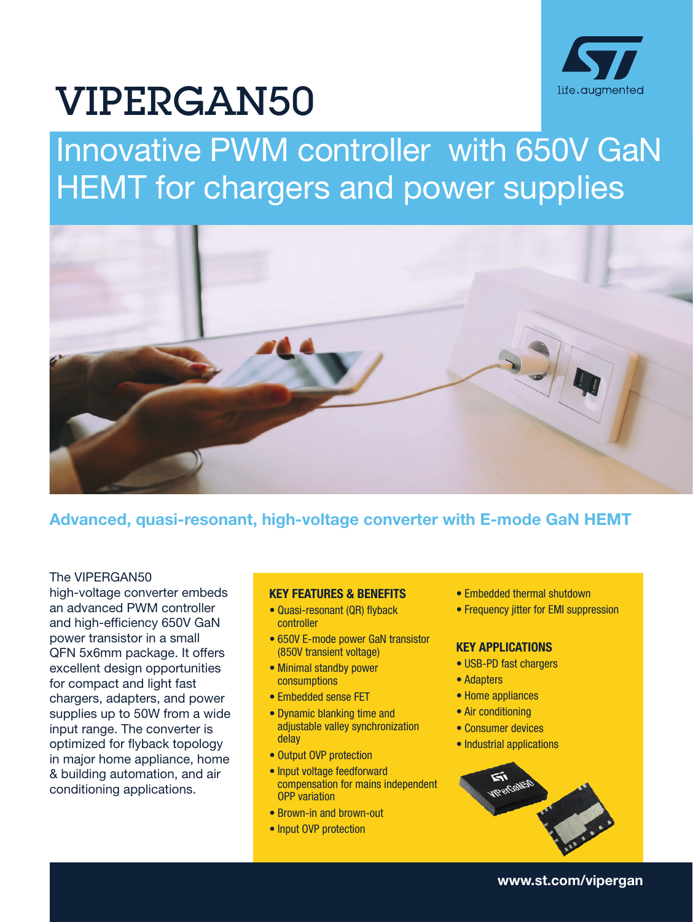

# VIPERGAN50

## Innovative PWM controller with 650V GaN HEMT for chargers and power supplies



### Advanced, quasi-resonant, high-voltage converter with E-mode GaN HEMT

#### The VIPERGAN50

high-voltage converter embeds an advanced PWM controller and high-efficiency 650V GaN power transistor in a small QFN 5x6mm package. It offers excellent design opportunities for compact and light fast chargers, adapters, and power supplies up to 50W from a wide input range. The converter is optimized for flyback topology in major home appliance, home & building automation, and air conditioning applications.

#### KEY FEATURES & BENEFITS

- Quasi-resonant (QR) flyback controller
- 650V E-mode power GaN transistor (850V transient voltage)
- Minimal standby power consumptions
- Embedded sense FET
- Dynamic blanking time and adjustable valley synchronization delay
- Output OVP protection
- Input voltage feedforward compensation for mains independent OPP variation
- Brown-in and brown-out
- Input OVP protection
- Embedded thermal shutdown
- Frequency jitter for EMI suppression

#### KEY APPLICATIONS

- USB-PD fast chargers
- Adapters
- Home appliances
- Air conditioning
- Consumer devices
- Industrial applications



www.st.com/vipergan